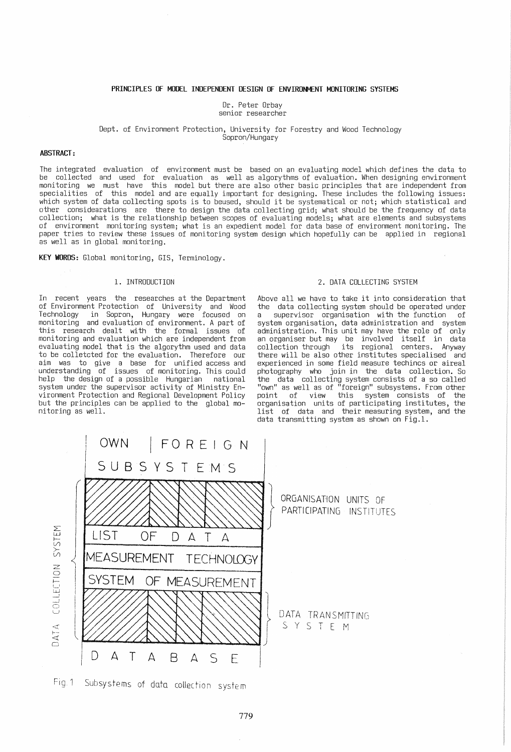## PRINCIPLES OF MODEL INDEPENDENT DESIGN OF ENVIRONMENT MONITORING SYSTEMS

Dr. Peter Orbav senior researcher

### Dept. of Environment Protection, University for Forestry and Wood Technology Sopron/Hungary

#### ABSTRACT:

The integrated evaluation of environment must be based on an evaluating model which defines the data to be collected and used for evaluation as well as algorythms of evaluation. When designing environment monitoring we must have this model but there are also other basic principles that are independent from specialities of this model and are equally important for designing. These includes the following issues: which system of data collecting spots is to beused, should it be systematical or not; which statistical and other considearations are there to design the data collecting grid; what should be the frequency of data collection; what is the relationship between scopes of evaluating models; what are elements and subsystems of environment monitoring system; what is an expedient model for data base of environment monitoring. The paper tries to review these issues of monitoring system design which hopefully can be applied in regional<br>as well as in global monitoring.

KEY WORDS: Global monitoring, GIS, Terminology.

## 1. INTRODUCTION

In recent years the researches at the Department of Environment Protection of University and Wood Technology in Sopron, Hungary were focused on monitoring and evaluation of environment. A part of monitoring and evaluation of environment. A part of<br>this research dealt with the formal issues of monitoring and evaluation which are independent from evaluating model that is the algorythm used and data<br>to be colletcted for the evaluation. Therefore our to be colletcted for the evaluation. Therefore our<br>aim was to give a base for unified access and understanding of issues of monitoring. This could help the design of a possible Hungarian national system under the supervisor activity of Ministry Environment Protection and Regional Development Policy but the principles can be applied to the global mo- nitoring as well.

## 2. DATA COLLECTING SYSTEM

Above all we have to take it into consideration that the data collecting system should be operated under a supervisor organisation with the function of system organisation, data administration and system administration. This unit may have the role of <sup>r</sup>only<br>an organiser but may be involved itself in data collection through its regional centers. Anyway there will be also other institutes specialised and experienced in some field measure techincs or aireal photography who join in the data collection. So the data collecting system consists of a so called "own" as well as of "foreign" subsystems. From other point of view this system consists of the organisation units of participating institutes, the list of data and their measuring system, and the data transmitting system as shown on Fig.1.



Fig. 1 Subsystems of data collection system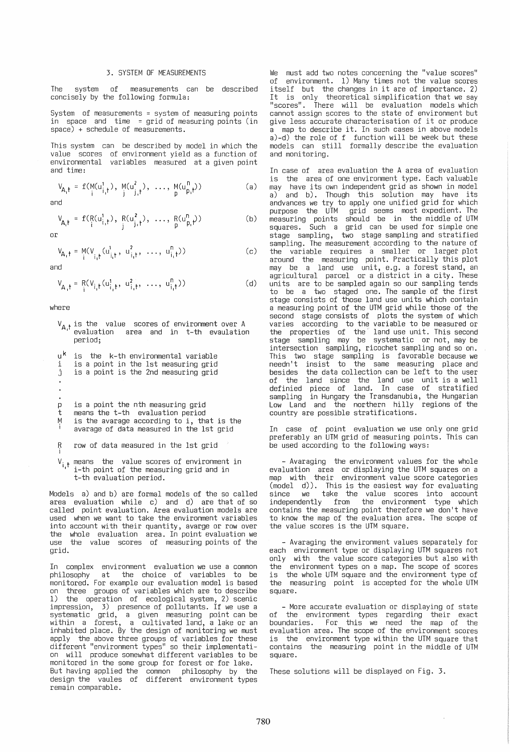## 3. SYSTEM OF MEASUREMENTS

The system of measurements can be described concisely by the following formula:

System of measurements = system of measuring points in space and time = grid of measuring points (in space) + schedule of measurements.

This system can be described by model in which the value scores of environment yield as a function of environmental variables measured at a given point and time:

$$
V_{A,t} = f(M(u_{i,t}^1), M(u_{j,t}^2), ..., M(u_{p,t}^n))
$$
 (a)

and

$$
V_{A_i t} = f(R(u_{i, t}^1), R(u_{j, t}^2), ..., R(u_{p, t}^n))
$$
 (b)

or

$$
V_{A_1f} = M(V_{i_1f}(u_{i_1f}^1, u_{i_1f}^2, ..., u_{i_1f}^n))
$$
 (c)

and

 $V_{A_1 t} = R(V_{i_1 t}(u_{i_1 t}^1, u_{i_1 t}^2, ..., u_{i_t t}^n))$ (d)

where

- $V_{A,t}$  is the value scores of environment over A evaluation area and in t-th evaulation period;
- $\mathsf{u}^\mathsf{k}$  is the  $\mathsf{k}\text{-}\mathsf{th}$  environmental variable
- i is a point in the 1st measuring grid
- <sup>j</sup>is a point is the 2nd measuring grid
- 
- 
- P
- t is a point the nth measuring grid means the t-th evaluation period
- M i is the avarage according to i, that is the
- avarage of data measured in the 1st grid
- R i row of data measured in the 1st grid
- $V_{i,t}$  means the value scores of environment in  $i$ -th point of the measuring grid and in t-th evaluation period.

Models a) and b) are formal models of the so called area evaluation while c) and d) are that of so called point evaluation. Area evaluation models are used when we want to take the environment variables into account with their quantity, avarge or row over the whole evaluation area. In point evaluation we use the value scores of measuring points of the grid.

In complex environment evaluation we use a common philosophy at the choice of variables to be monitored. For example our evaluation model is based on three groups of variables which are to describe 1) the operation of ecological system, 2) scenic impression, 3) presence of pollutants. If we use a systematic grid, a given measuring point can be within a forest, a cultivated land, a lake or an<br>inhabited place. By the design of monitoring we must apply the above three groups of variables for these different "environment types" so their implementati- on will produce somewhat different variables to be monitored in the some group for forest or for lake. But having applied the common philosophy by the design the vaules of different environment types remain comparable.

We must add two notes concerning the "value scores"<br>of environment. 1) Many times not the value scores itself but the changes in it are of importance. 2) It is only theoretical simplification that we say "scores". There will be evaluation models which cannot assign scores to the state of environment but a map to describe it. In such cases in above models a)-d) the role of f function will be week but these models can still formally describe the evaluation and monitoring.

In case of area evaluation the A area of evaluation is the area of one environment type. Each valuable may have its own independent grid as shown in model a) and b). Though this solution may have its andvances we try to apply one unified grid for which purpose the UTM grid seems most expedient. The measuring points should be in the middle of UTM squares. Such a grid can be used for simple one<br>stage sampling, two stage sampling and stratified sampling. The measurement,according to the nature of the variable requires a smaller or larger plot around the measuring point. Practically this plot may be a land use unit, e.g. a forest stand, an<br>agricultural parcel or a district in a city. These units are to be sampled again so our sampling tends to be a two staged one. The sample of the first stage consists of those land use units which contain a measuring point of the UTM grid while those of the second stage consists of plots the system of which<br>varies according to the variable to be measured or varies according to the variable to be measured or the properties of the' land use unit. This second stage sampling may be systematic or not, may be intersection sampling, ricochet sampling and so on. This two stage sampling is favorable because we needn't insist to the same measuring place and besides the data collection can be left to the user of the land since the land use unit is a well definied piece of land. In case of stratified sampling in Hungary the Transdanubia, the Hungarian Low Land and the northern hilly regions of the country are possible stratifications.

In case of point evaluation we use only one grid preferably an UTM grid of measuring points. This can be used according to the following ways:

- Avaraging the environment values for the whole evaluation area or displaying the UTM squares on a map with their environment value score categories (model d)). This is the easiest way for evaluating since we take the value scores into account independently from the environment type which contains the measuring point therefore we don't have to know the map of the evaluation area. The scope of the value scores is the UTM square.

- Avaraging the environment values separately for each environment type or displaying UTM squares not only with the value score categories but also with the environment types on a map. The scope of scores is the whole UTM square and the environment type of the measuring point is accepted for the whole UTM square.

- More accurate evaluation or displaying of state of the environment types regarding their exact boundaries. For this we need the map of the evaluation area. The scope of the environment scores is the environment type within the UTM square that contains the measuring point in the middle of UTM square.

These solutions will be displayed on Fig. 3.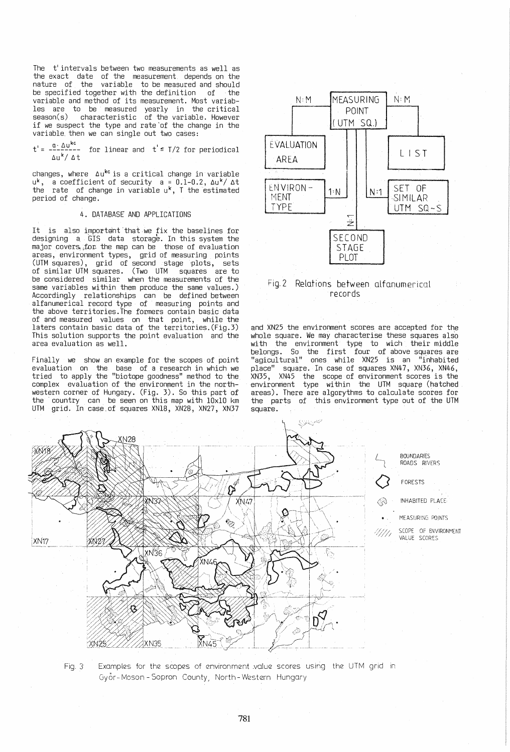The t'intervals between two measurements as well as the exact date of the measurement depends on the nature of the variable to be measured and should be specified together with the definition of the variable and method of its measurement. Most variables are to be measured yearly in the critical season(s) characteristic of the variable. However if we suspect the type and rate 'of the change in the  $variable$ , then we can single out two cases:

 $t' = \frac{a \cdot \Delta u^{kc}}{\Delta u^{k}/ \Delta t}$  for linear and  $t' \leq T/2$  for periodical

changes, where  $\Delta u^{kc}$  is a critical change in variable  $u^k$ , a coefficient of security  $a = 0.1-0.2$ ,  $\Delta u^k / \Delta t$ the rate of change in variable  $u^k$ , T the estimated period of change.

## 4. DATABASE AND APPLICATIONS

It is also important that we fix the baselines for designing a, GI.S data storage. In this system the major covers for the map can be  $-$  those of evaluation areas, environment types, grid of measuring points (UTM squares), grid of second stage plots, sets of similar UTM squares. (Two UTM squares are to be considered similar when the measurements of the same variables within them produce the same values.) Accordingly relationships can be defined between alfanumerical record type of measuring points and the above territories. The formers contain basic data of and measured values on that point, while the laters contain basic data of the territories.(Fig.3) This solution supports the point evaluation and the area evaluation as well.

Finally we show an example for the scopes of point evaluation on the base of a research in which we tried to apply the "biotope goodness" method to the complex evaluation of the environment in the northwestern corner of Hungary. (Fig. 3). So this part of the' country can be seen on this map with 10x10 km UTM grid. In case,of squares XN18, XN28, XN27, XN37



# Fig. 2 Relations between alfanumerical records

and XN25 the environment scores are accepted for the whole square. We may characterise these squares also with the environment type to wich their middle belongs. So the first four of above squares are "agicultural" ones while XN25 is an "inhabited place" square. In case of squares XN47, XN36, XN46, XN35, XN45 the scope of environment scores is the environment type within the UTM square (hatched areas). There are algorythms to calculate scores for the parts of this environment type out of the UTM square.



Fig. 3 Examples for the scopes of environment value scores using the UTM grid in Gyor--Moson-Sopron County, North-Western Hungary